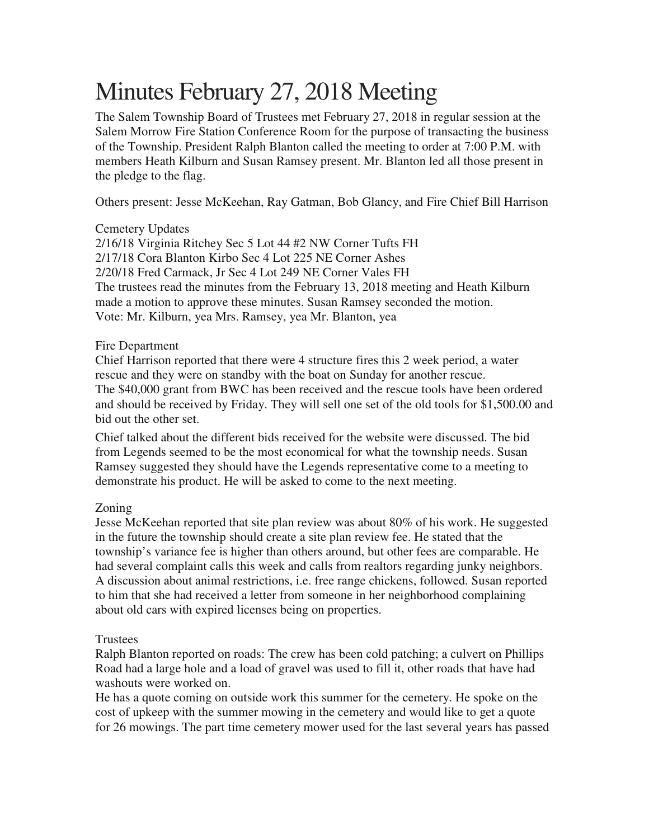# Minutes February 27, 2018 Meeting

The Salem Township Board of Trustees met February 27, 2018 in regular session at the Salem Morrow Fire Station Conference Room for the purpose of transacting the business of the Township. President Ralph Blanton called the meeting to order at 7:00 P.M. with members Heath Kilburn and Susan Ramsey present. Mr. Blanton led all those present in the pledge to the flag.

Others present: Jesse McKeehan, Ray Gatman, Bob Glancy, and Fire Chief Bill Harrison

# Cemetery Updates

2/16/18 Virginia Ritchey Sec 5 Lot 44 #2 NW Corner Tufts FH 2/17/18 Cora Blanton Kirbo Sec 4 Lot 225 NE Corner Ashes 2/20/18 Fred Carmack, Jr Sec 4 Lot 249 NE Corner Vales FH The trustees read the minutes from the February 13, 2018 meeting and Heath Kilburn made a motion to approve these minutes. Susan Ramsey seconded the motion. Vote: Mr. Kilburn, yea Mrs. Ramsey, yea Mr. Blanton, yea

### Fire Department

Chief Harrison reported that there were 4 structure fires this 2 week period, a water rescue and they were on standby with the boat on Sunday for another rescue. The \$40,000 grant from BWC has been received and the rescue tools have been ordered and should be received by Friday. They will sell one set of the old tools for \$1,500.00 and bid out the other set.

Chief talked about the different bids received for the website were discussed. The bid from Legends seemed to be the most economical for what the township needs. Susan Ramsey suggested they should have the Legends representative come to a meeting to demonstrate his product. He will be asked to come to the next meeting.

# Zoning

Jesse McKeehan reported that site plan review was about 80% of his work. He suggested in the future the township should create a site plan review fee. He stated that the township's variance fee is higher than others around, but other fees are comparable. He had several complaint calls this week and calls from realtors regarding junky neighbors. A discussion about animal restrictions, i.e. free range chickens, followed. Susan reported to him that she had received a letter from someone in her neighborhood complaining about old cars with expired licenses being on properties.

# Trustees

Ralph Blanton reported on roads: The crew has been cold patching; a culvert on Phillips Road had a large hole and a load of gravel was used to fill it, other roads that have had washouts were worked on.

He has a quote coming on outside work this summer for the cemetery. He spoke on the cost of upkeep with the summer mowing in the cemetery and would like to get a quote for 26 mowings. The part time cemetery mower used for the last several years has passed